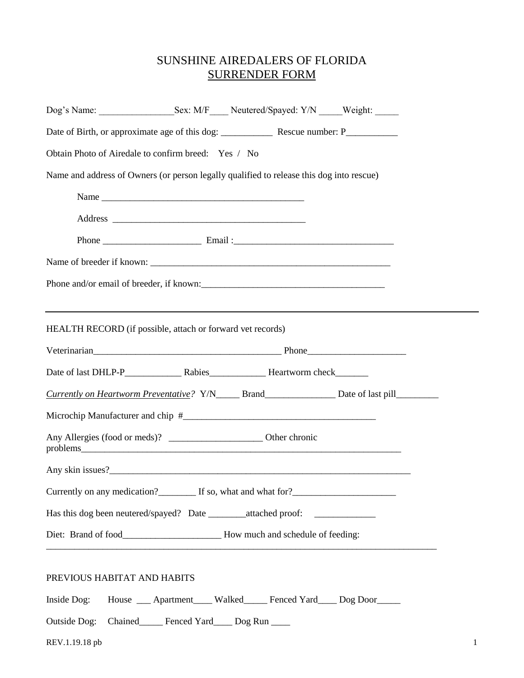## SUNSHINE AIREDALERS OF FLORIDA SURRENDER FORM

|                             | Obtain Photo of Airedale to confirm breed: Yes / No                                      |                                                                                                           |
|-----------------------------|------------------------------------------------------------------------------------------|-----------------------------------------------------------------------------------------------------------|
|                             | Name and address of Owners (or person legally qualified to release this dog into rescue) |                                                                                                           |
|                             |                                                                                          |                                                                                                           |
|                             |                                                                                          |                                                                                                           |
|                             |                                                                                          |                                                                                                           |
|                             |                                                                                          |                                                                                                           |
|                             | Phone and/or email of breeder, if known:                                                 |                                                                                                           |
|                             |                                                                                          |                                                                                                           |
|                             | HEALTH RECORD (if possible, attach or forward vet records)                               |                                                                                                           |
|                             |                                                                                          |                                                                                                           |
|                             |                                                                                          |                                                                                                           |
|                             |                                                                                          | Currently on Heartworm Preventative? Y/N______ Brand______________________ Date of last pill_____________ |
|                             |                                                                                          |                                                                                                           |
|                             |                                                                                          |                                                                                                           |
|                             |                                                                                          |                                                                                                           |
|                             |                                                                                          |                                                                                                           |
|                             | Currently on any medication?<br>If so, what and what for?<br><u>Letter and what for</u>  |                                                                                                           |
|                             | Has this dog been neutered/spayed? Date ________attached proof: ________________         |                                                                                                           |
|                             | Diet: Brand of food_____________________________How much and schedule of feeding:        |                                                                                                           |
|                             |                                                                                          |                                                                                                           |
| PREVIOUS HABITAT AND HABITS |                                                                                          |                                                                                                           |
| Inside Dog:                 | House __ Apartment ___ Walked ___ Fenced Yard ___ Dog Door ___                           |                                                                                                           |
| <b>Outside Dog:</b>         | Chained______ Fenced Yard_____ Dog Run _____                                             |                                                                                                           |
| REV.1.19.18 pb              |                                                                                          |                                                                                                           |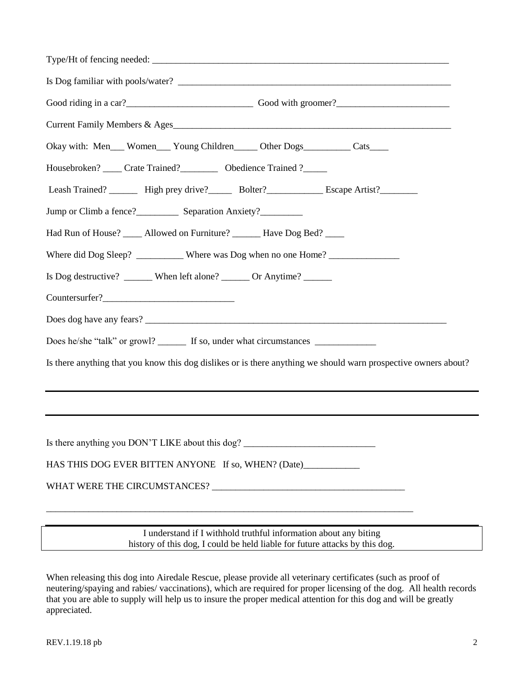| Good riding in a car?<br>Cood with groomer?<br>Cood with groomer?                                               |
|-----------------------------------------------------------------------------------------------------------------|
| Current Family Members & Ages                                                                                   |
| Okay with: Men__ Women__ Young Children____ Other Dogs_________ Cats____                                        |
| Housebroken? _____ Crate Trained? ___________ Obedience Trained ?______                                         |
| Leash Trained? ________ High prey drive?________ Bolter?______________ Escape Artist?__________                 |
|                                                                                                                 |
| Had Run of House? _____ Allowed on Furniture? _______ Have Dog Bed? _____                                       |
| Where did Dog Sleep? __________ Where was Dog when no one Home? ________________                                |
| Is Dog destructive? ______ When left alone? ______ Or Anytime? _____                                            |
| Countersurfer?                                                                                                  |
|                                                                                                                 |
| Does he/she "talk" or growl? ________ If so, under what circumstances ___________                               |
| Is there anything that you know this dog dislikes or is there anything we should warn prospective owners about? |
|                                                                                                                 |
|                                                                                                                 |
|                                                                                                                 |
| Is there anything you DON'T LIKE about this dog?                                                                |
| HAS THIS DOG EVER BITTEN ANYONE If so, WHEN? (Date)____________                                                 |
|                                                                                                                 |
|                                                                                                                 |
| I understand if I withhold truthful information about any biting                                                |

history of this dog, I could be held liable for future attacks by this dog.

When releasing this dog into Airedale Rescue, please provide all veterinary certificates (such as proof of neutering/spaying and rabies/ vaccinations), which are required for proper licensing of the dog. All health records that you are able to supply will help us to insure the proper medical attention for this dog and will be greatly appreciated.